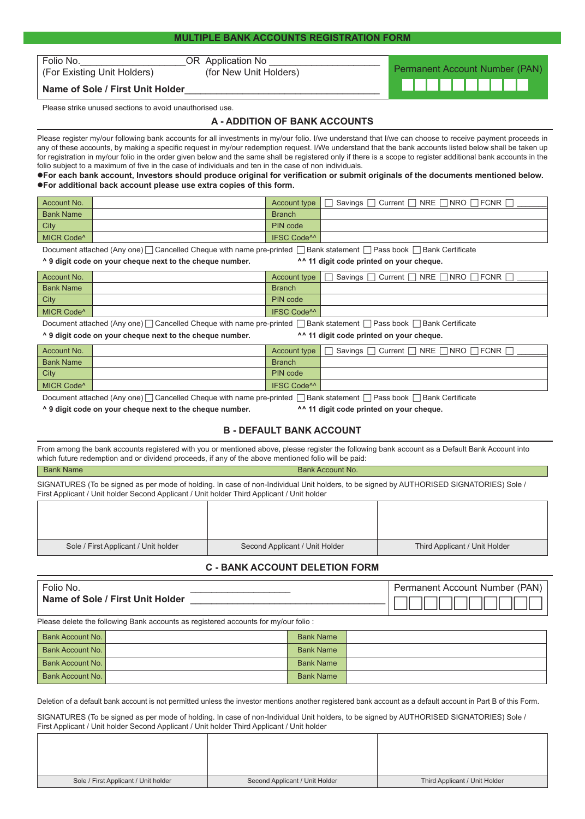(For Existing Unit Holders)

Folio No.<br>
(For Existing Unit Holders) CR Application No LITE (For Existing Unit Holders)

Name of Sole / First Unit Holder

Please strike unused sections to avoid unauthorised use.

## **A - ADDITION OF BANK ACCOUNTS**

Please register my/our following bank accounts for all investments in my/our folio. I/we understand that I/we can choose to receive payment proceeds in any of these accounts, by making a specific request in my/our redemption request. I/We understand that the bank accounts listed below shall be taken up for registration in my/our folio in the order given below and the same shall be registered only if there is a scope to register additional bank accounts in the folio subject to a maximum of five in the case of individuals and ten in the case of non individuals.

#### **For each bank account, Investors should produce original for verification or submit originals of the documents mentioned below. For additional back account please use extra copies of this form.**

| Account No.            | Account type                  | $NRE \cap NRO \cap$<br>Savings $\Box$ Current $\Box$<br>$\sqcap$ fcnr $\lceil$ |
|------------------------|-------------------------------|--------------------------------------------------------------------------------|
| <b>Bank Name</b>       | <b>Branch</b>                 |                                                                                |
| City                   | PIN code                      |                                                                                |
| MICR Code <sup>A</sup> | <b>IFSC Code<sup>^^</sup></b> |                                                                                |

Document attached (Any one) Cancelled Cheque with name pre-printed Bank statement Pass book Bank Certificate

#### **^ 9 digit code on your cheque next to the cheque number. ^^ 11 digit code printed on your cheque.**

Permanent Account Number (PAN)

| Account No.            | Account type                  | NRE I<br>□NRO I<br>Current <sub>[1]</sub><br>Savings [<br>FCNR I |
|------------------------|-------------------------------|------------------------------------------------------------------|
| <b>Bank Name</b>       | <b>Branch</b>                 |                                                                  |
| City                   | PIN code                      |                                                                  |
| MICR Code <sup>^</sup> | <b>IFSC Code<sup>^^</sup></b> |                                                                  |

Document attached (Any one)  $\Box$  Cancelled Cheque with name pre-printed  $\Box$  Bank statement  $\Box$  Pass book  $\Box$  Bank Certificate

**^ 9 digit code on your cheque next to the cheque number. ^^ 11 digit code printed on your cheque.**

| Account No.            |  | Account type                  | Savings Current RNRE RNRO RFCNR |
|------------------------|--|-------------------------------|---------------------------------|
| <b>Bank Name</b>       |  | <b>Branch</b>                 |                                 |
| City                   |  | PIN code                      |                                 |
| MICR Code <sup>^</sup> |  | <b>IFSC Code<sup>^^</sup></b> |                                 |
|                        |  |                               |                                 |

Document attached (Any one) Cancelled Cheque with name pre-printed Bank statement Pass book Bank Certificate

**^ 9 digit code on your cheque next to the cheque number. ^^ 11 digit code printed on your cheque.**

### **B - DEFAULT BANK ACCOUNT**

**Bank Account No.** 

From among the bank accounts registered with you or mentioned above, please register the following bank account as a Default Bank Account into which future redemption and or dividend proceeds, if any of the above mentioned folio will be paid:

| Bank Name |  |
|-----------|--|
|-----------|--|

SIGNATURES (To be signed as per mode of holding. In case of non-Individual Unit holders, to be signed by AUTHORISED SIGNATORIES) Sole / First Applicant / Unit holder Second Applicant / Unit holder Third Applicant / Unit holder

| Sole / First Applicant / Unit holder | Second Applicant / Unit Holder | Third Applicant / Unit Holder |
|--------------------------------------|--------------------------------|-------------------------------|

# **C - BANK ACCOUNT DELETION FORM**

| Folio No.                        | Permanent Account Number (PAN) |
|----------------------------------|--------------------------------|
| Name of Sole / First Unit Holder |                                |
|                                  |                                |

Please delete the following Bank accounts as registered accounts for my/our folio :

| Bank Account No. | <b>Bank Name</b> |  |
|------------------|------------------|--|
| Bank Account No. | <b>Bank Name</b> |  |
| Bank Account No. | <b>Bank Name</b> |  |
| Bank Account No. | <b>Bank Name</b> |  |

Deletion of a default bank account is not permitted unless the investor mentions another registered bank account as a default account in Part B of this Form.

SIGNATURES (To be signed as per mode of holding. In case of non-Individual Unit holders, to be signed by AUTHORISED SIGNATORIES) Sole / First Applicant / Unit holder Second Applicant / Unit holder Third Applicant / Unit holder

| Sole / First Applicant / Unit holder | Second Applicant / Unit Holder | Third Applicant / Unit Holder |
|--------------------------------------|--------------------------------|-------------------------------|